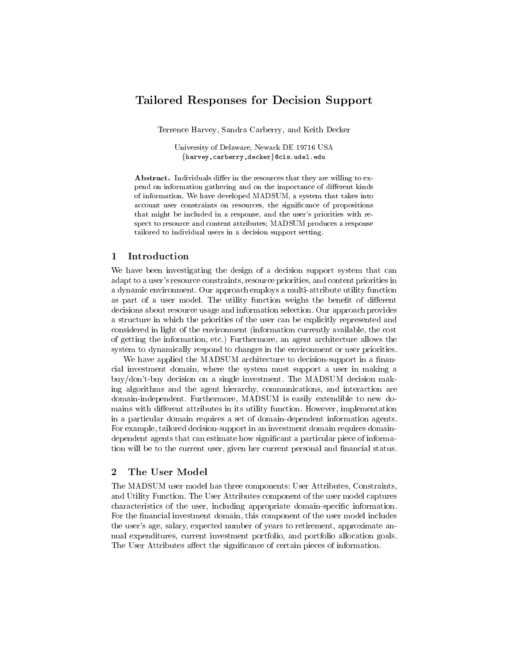# Tailored Responses for Decision Support

Terrence Harvey, Sandra Carberry, and Keith Decker

University of Delaware, Newark DE 19716 USA {harvey, carberry, decker}@cis.udel.edu

Abstract. Individuals differ in the resources that they are willing to expend on information gathering and on the importance of different kinds of information. We have developed MADSUM, a system that takes into account user constraints on resources, the signicance of propositions that might be included in a response, and the user's priorities with respect to resource and content attributes; MADSUM produces a response tailored to individual users in a decision support setting.

#### Introduction  $\mathbf 1$

We have been investigating the design of a decision support system that can adapt to a user's resource constraints, resource priorities, and content priorities in a dynamic environment. Our approach employs a multi-attribute utility function as part of a user model. The utility function weighs the benefit of different decisions about resource usage and information selection. Our approach provides a structure in which the priorities of the user can be explicitly represented and considered in light of the environment (information currently available, the cost of getting the information, etc.) Furthermore, an agent architecture allows the system to dynamically respond to changes in the environment or user priorities.

We have applied the MADSUM architecture to decision-support in a financial investment domain, where the system must support a user in making a buy/don't-buy decision on a single investment. The MADSUM decision making algorithms and the agent hierarchy, communications, and interaction are domain-independent. Furthermore, MADSUM is easily extendible to new domains with different attributes in its utility function. However, implementation in a particular domain requires a set of domain-dependent information agents. For example, tailored decision-support in an investment domain requires domaindependent agents that can estimate how signicant a particular piece of information will be to the current user, given her current personal and financial status.

#### $\overline{2}$ The User Model

The MADSUM user model has three components: User Attributes, Constraints, and Utility Function. The User Attributes component of the user model captures characteristics of the user, including appropriate domain-specic information. For the financial investment domain, this component of the user model includes the user's age, salary, expected number of years to retirement, approximate an nual expenditures, current investment portfolio, and portfolio allocation goals. The User Attributes affect the significance of certain pieces of information.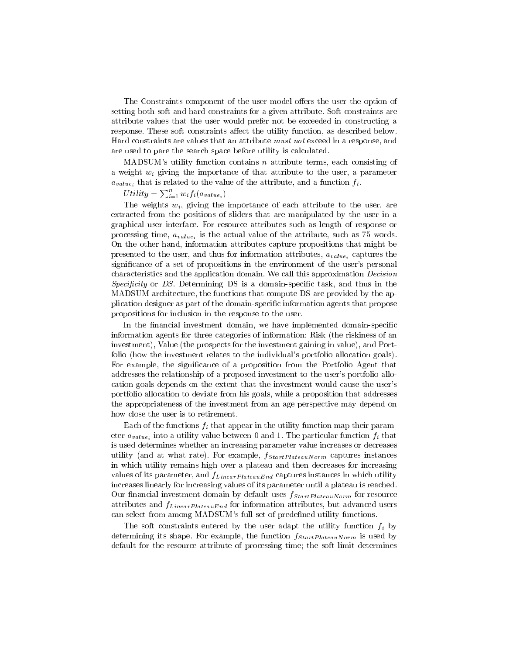The Constraints component of the user model offers the user the option of setting both soft and hard constraints for a given attribute. Soft constraints are attribute values that the user would prefer not be exceeded in constructing a response. These soft constraints affect the utility function, as described below. Hard constraints are values that an attribute must not exceed in a response, and are used to pare the search space before utility is calculated.

MADSUM's utility function contains  $n$  attribute terms, each consisting of a weight  $w_i$  giving the importance of that attribute to the user, a parameter  $a_{value_i}$  that is related to the value of the attribute, and a function  $f_i$ .

### $Utility = \sum_{i=1}^{n} w_i f_i(a_{value_i})$

The weights  $w_i$ , giving the importance of each attribute to the user, are extracted from the positions of sliders that are manipulated by the user in a graphical user interface. For resource attributes such as length of response or processing time,  $a_{value_i}$  is the actual value of the attribute, such as 75 words. On the other hand, information attributes capture propositions that might be presented to the user, and thus for information attributes,  $a_{value_i}$  captures the signicance of a set of propositions in the environment of the user's personal characteristics and the application domain. We call this approximation Decision Specificity or DS. Determining DS is a domain-specific task, and thus in the MADSUM architecture, the functions that compute DS are provided by the application designer as part of the domain-specic information agents that propose propositions for inclusion in the response to the user.

In the financial investment domain, we have implemented domain-specific information agents for three categories of information: Risk (the riskiness of an investment), Value (the prospects for the investment gaining in value), and Portfolio (how the investment relates to the individual's portfolio allocation goals). For example, the signicance of a proposition from the Portfolio Agent that addresses the relationship of a proposed investment to the user's portfolio allocation goals depends on the extent that the investment would cause the user's portfolio allocation to deviate from his goals, while a proposition that addresses the appropriateness of the investment from an age perspective may depend on how close the user is to retirement.

Each of the functions  $f_i$  that appear in the utility function map their parameter  $a_{value_i}$  into a utility value between 0 and 1. The particular function  $f_i$  that is used determines whether an increasing parameter value increases or decreases utility (and at what rate). For example,  $f_{StartPlateauNorm}$  captures instances in which utility remains high over a plateau and then decreases for increasing values of its parameter, and  $f_{Linear PlateauEnd}$  captures instances in which utility increases linearly for increasing values of its parameter until a plateau is reached. Our financial investment domain by default uses  $f_{StartPlateauNorm}$  for resource attributes and  $f_{Linear PlateauEnd}$  for information attributes, but advanced users can select from among MADSUM's full set of predefined utility functions.

The soft constraints entered by the user adapt the utility function  $f_i$  by determining its shape. For example, the function  $f_{StartPlateauNorm}$  is used by default for the resource attribute of processing time; the soft limit determines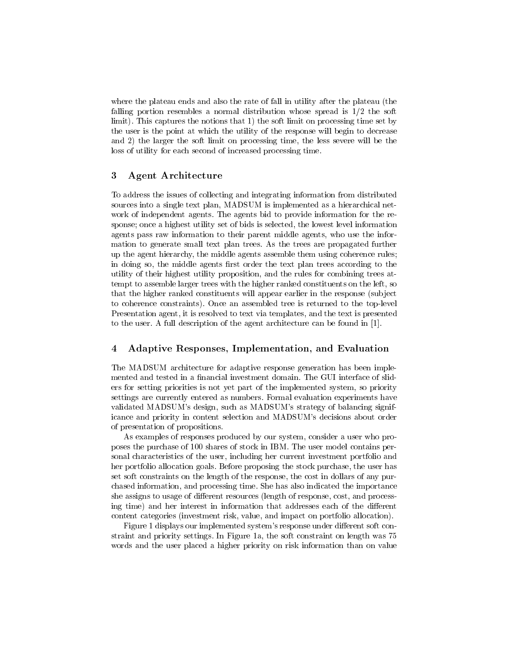where the plateau ends and also the rate of fall in utility after the plateau (the falling portion resembles a normal distribution whose spread is  $1/2$  the soft limit). This captures the notions that 1) the soft limit on processing time set by the user is the point at which the utility of the response will begin to decrease and 2) the larger the soft limit on processing time, the less severe will be the loss of utility for each second of increased processing time.

#### 3 Agent Architecture

To address the issues of collecting and integrating information from distributed sources into a single text plan, MADSUM is implemented as a hierarchical net work of independent agents. The agents bid to provide information for the response; once a highest utility set of bids is selected, the lowest level information agents pass raw information to their parent middle agents, who use the information to generate small text plan trees. As the trees are propagated further up the agent hierarchy, the middle agents assemble them using coherence rules; in doing so, the middle agents first order the text plan trees according to the utility of their highest utility proposition, and the rules for combining trees attempt to assemble larger trees with the higher ranked constituents on the left, so that the higher ranked constituents will appear earlier in the response (sub ject to coherence constraints). Once an assembled tree is returned to the top-level Presentation agent, it is resolved to text via templates, and the text is presented to the user. A full description of the agent architecture can be found in [1].

### 4 Adaptive Responses, Implementation, and Evaluation

The MADSUM architecture for adaptive response generation has been implemented and tested in a financial investment domain. The GUI interface of sliders for setting priorities is not yet part of the implemented system, so priority settings are currently entered as numbers. Formal evaluation experiments have validated MADSUM's design, such as MADSUM's strategy of balancing significance and priority in content selection and MADSUM's decisions about order of presentation of propositions.

As examples of responses produced by our system, consider a user who proposes the purchase of 100 shares of stock in IBM. The user model contains personal characteristics of the user, including her current investment portfolio and her portfolio allocation goals. Before proposing the stock purchase, the user has set soft constraints on the length of the response, the cost in dollars of any purchased information, and processing time. She has also indicated the importance she assigns to usage of different resources (length of response, cost, and processing time) and her interest in information that addresses each of the different content categories (investment risk, value, and impact on portfolio allocation).

Figure 1 displays our implemented system's response under different soft constraint and priority settings. In Figure 1a, the soft constraint on length was 75 words and the user placed a higher priority on risk information than on value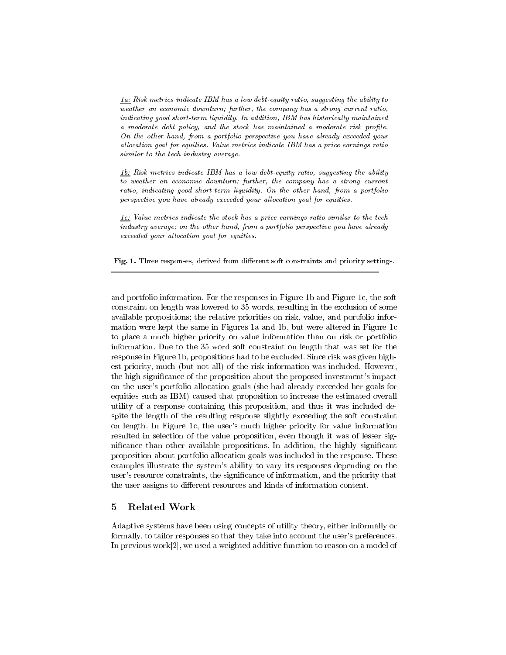1a: Risk metrics indicate IBM has a low debt-equity ratio, suggesting the ability to weather an economic downturn; further, the company has a strong current ratio,indicating good short-term liquidity. In addition, IBM has historically maintained a moderate debt policy, and the stock has maintained <sup>a</sup> moderate risk prole. On the other hand, from a portfolio perspective you have already exceeded your allocation goal for equities. Value metrics indicate IBM has a price earnings ratio similar to the tech industry average.

 $10.$  Risk metrics indicate IDM has a low debt-equity ratio, suggesting the ability to weather an economic downturn; further, the company has <sup>a</sup> strong current ratio, indicating good short-term liquidity. On the other hand, from <sup>a</sup> portfolio perspective you have already exceeded your allocation goal for equities.

1c: Value metrics indicate the stock has a price earnings ratio similar to the tech industry average; on the other hand, from a portfolio perspective you have alreadyexceeded your allocation goal for equities.

Fig. 1. Three responses, derived from different soft constraints and priority settings.

and portfolio information. For the responses in Figure 1b and Figure 1c, the soft constraint on length was lowered to 35 words, resulting in the exclusion of some available propositions; the relative priorities on risk, value, and portfolio information were kept the same in Figures 1a and 1b, but were altered in Figure 1c to place a much higher priority on value information than on risk or portfolio information. Due to the 35 word soft constraint on length that was set for the response in Figure 1b, propositions had to be excluded. Since risk was given highest priority, much (but not all) of the risk information was included. However, the high signicance of the proposition about the proposed investment's impact on the user's portfolio allocation goals (she had already exceeded her goals for equities such as IBM) caused that proposition to increase the estimated overall utility of a response containing this proposition, and thus it was included despite the length of the resulting response slightly exceeding the soft constraint on length. In Figure 1c, the user's much higher priority for value information resulted in selection of the value proposition, even though it was of lesser signicance than other available propositions. In addition, the highly signicant proposition about portfolio allocation goals was included in the response. These examples illustrate the system's ability to vary its responses depending on the user's resource constraints, the signicance of information, and the priority that the user assigns to different resources and kinds of information content.

#### $\mathbf{5}$ 5 Related Work

Adaptive systems have been using concepts of utility theory, either informally or formally, to tailor responses so that they take into account the user's preferences. In previous work[2], we used a weighted additive function to reason on a model of